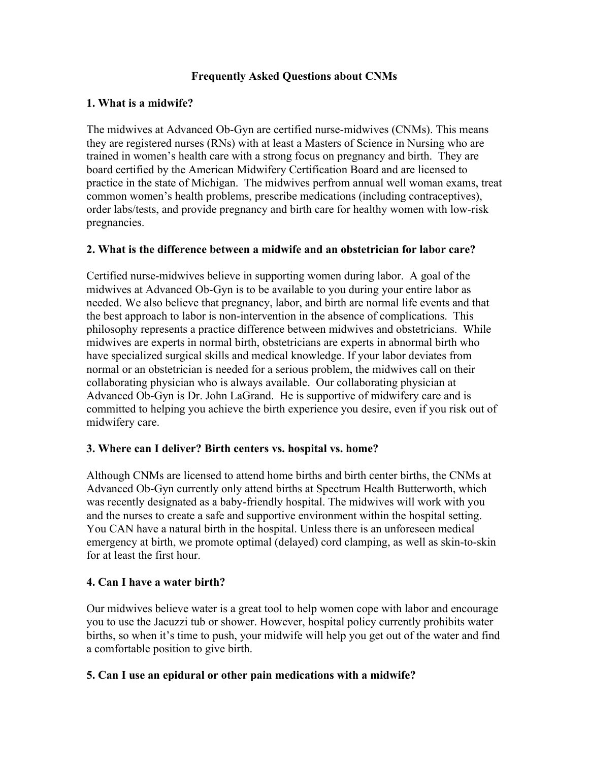### **Frequently Asked Questions about CNMs**

### **1. What is a midwife?**

The midwives at Advanced Ob-Gyn are certified nurse-midwives (CNMs). This means they are registered nurses (RNs) with at least a Masters of Science in Nursing who are trained in women's health care with a strong focus on pregnancy and birth. They are board certified by the American Midwifery Certification Board and are licensed to practice in the state of Michigan. The midwives perfrom annual well woman exams, treat common women's health problems, prescribe medications (including contraceptives), order labs/tests, and provide pregnancy and birth care for healthy women with low-risk pregnancies.

### **2. What is the difference between a midwife and an obstetrician for labor care?**

Certified nurse-midwives believe in supporting women during labor. A goal of the midwives at Advanced Ob-Gyn is to be available to you during your entire labor as needed. We also believe that pregnancy, labor, and birth are normal life events and that the best approach to labor is non-intervention in the absence of complications. This philosophy represents a practice difference between midwives and obstetricians. While midwives are experts in normal birth, obstetricians are experts in abnormal birth who have specialized surgical skills and medical knowledge. If your labor deviates from normal or an obstetrician is needed for a serious problem, the midwives call on their collaborating physician who is always available. Our collaborating physician at Advanced Ob-Gyn is Dr. John LaGrand. He is supportive of midwifery care and is committed to helping you achieve the birth experience you desire, even if you risk out of midwifery care.

### **3. Where can I deliver? Birth centers vs. hospital vs. home?**

Although CNMs are licensed to attend home births and birth center births, the CNMs at Advanced Ob-Gyn currently only attend births at Spectrum Health Butterworth, which was recently designated as a baby-friendly hospital. The midwives will work with you and the nurses to create a safe and supportive environment within the hospital setting. You CAN have a natural birth in the hospital. Unless there is an unforeseen medical emergency at birth, we promote optimal (delayed) cord clamping, as well as skin-to-skin for at least the first hour.

# **4. Can I have a water birth?**

Our midwives believe water is a great tool to help women cope with labor and encourage you to use the Jacuzzi tub or shower. However, hospital policy currently prohibits water births, so when it's time to push, your midwife will help you get out of the water and find a comfortable position to give birth.

# **5. Can I use an epidural or other pain medications with a midwife?**